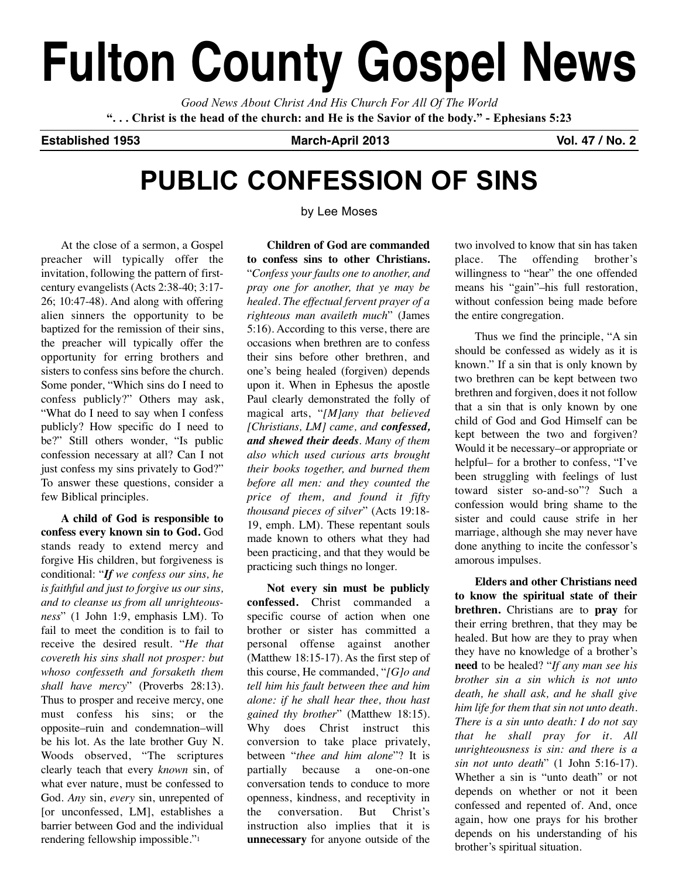# **Fulton County Gospel News**

*Good News About Christ And His Church For All Of The World* "... Christ is the head of the church: and He is the Savior of the body." - Ephesians 5:23

**Established 1953 March-April 2013 Vol. 47 / No. 2**

## **PUBLIC CONFESSION OF SINS**

by Lee Moses

At the close of a sermon, a Gospel preacher will typically offer the invitation, following the pattern of firstcentury evangelists (Acts 2:38-40; 3:17- 26; 10:47-48). And along with offering alien sinners the opportunity to be baptized for the remission of their sins, the preacher will typically offer the opportunity for erring brothers and sisters to confess sins before the church. Some ponder, "Which sins do I need to confess publicly?" Others may ask, "What do I need to say when I confess publicly? How specific do I need to be?" Still others wonder, "Is public confession necessary at all? Can I not just confess my sins privately to God?" To answer these questions, consider a few Biblical principles.

**A child of God is responsible to confess every known sin to God.** God stands ready to extend mercy and forgive His children, but forgiveness is conditional: "*If we confess our sins, he is faithful and just to forgive us our sins, and to cleanse us from all unrighteousness*" (1 John 1:9, emphasis LM). To fail to meet the condition is to fail to receive the desired result. "*He that covereth his sins shall not prosper: but whoso confesseth and forsaketh them shall have mercy*" (Proverbs 28:13). Thus to prosper and receive mercy, one must confess his sins; or the opposite–ruin and condemnation–will be his lot. As the late brother Guy N. Woods observed, "The scriptures clearly teach that every *known* sin, of what ever nature, must be confessed to God. *Any* sin, *every* sin, unrepented of [or unconfessed, LM], establishes a barrier between God and the individual rendering fellowship impossible."1

**Children of God are commanded to confess sins to other Christians.** "*Confess your faults one to another, and pray one for another, that ye may be healed. The effectual fervent prayer of a righteous man availeth much*" (James 5:16). According to this verse, there are occasions when brethren are to confess their sins before other brethren, and one's being healed (forgiven) depends upon it. When in Ephesus the apostle Paul clearly demonstrated the folly of magical arts, "*[M]any that believed [Christians, LM] came, and confessed, and shewed their deeds. Many of them also which used curious arts brought their books together, and burned them before all men: and they counted the price of them, and found it fifty thousand pieces of silver*" (Acts 19:18- 19, emph. LM). These repentant souls made known to others what they had been practicing, and that they would be practicing such things no longer.

**Not every sin must be publicly confessed.** Christ commanded a specific course of action when one brother or sister has committed a personal offense against another (Matthew 18:15-17). As the first step of this course, He commanded, "*[G]o and tell him his fault between thee and him alone: if he shall hear thee, thou hast gained thy brother*" (Matthew 18:15). Why does Christ instruct this conversion to take place privately, between "*thee and him alone*"? It is partially because a one-on-one conversation tends to conduce to more openness, kindness, and receptivity in the conversation. But Christ's instruction also implies that it is **unnecessary** for anyone outside of the

two involved to know that sin has taken place. The offending brother's willingness to "hear" the one offended means his "gain"–his full restoration, without confession being made before the entire congregation.

Thus we find the principle, "A sin should be confessed as widely as it is known." If a sin that is only known by two brethren can be kept between two brethren and forgiven, does it not follow that a sin that is only known by one child of God and God Himself can be kept between the two and forgiven? Would it be necessary–or appropriate or helpful– for a brother to confess, "I've been struggling with feelings of lust toward sister so-and-so"? Such a confession would bring shame to the sister and could cause strife in her marriage, although she may never have done anything to incite the confessor's amorous impulses.

**Elders and other Christians need to know the spiritual state of their brethren.** Christians are to **pray** for their erring brethren, that they may be healed. But how are they to pray when they have no knowledge of a brother's **need** to be healed? "*If any man see his brother sin a sin which is not unto death, he shall ask, and he shall give him life for them that sin not unto death. There is a sin unto death: I do not say that he shall pray for it. All unrighteousness is sin: and there is a sin not unto death*" (1 John 5:16-17). Whether a sin is "unto death" or not depends on whether or not it been confessed and repented of. And, once again, how one prays for his brother depends on his understanding of his brother's spiritual situation.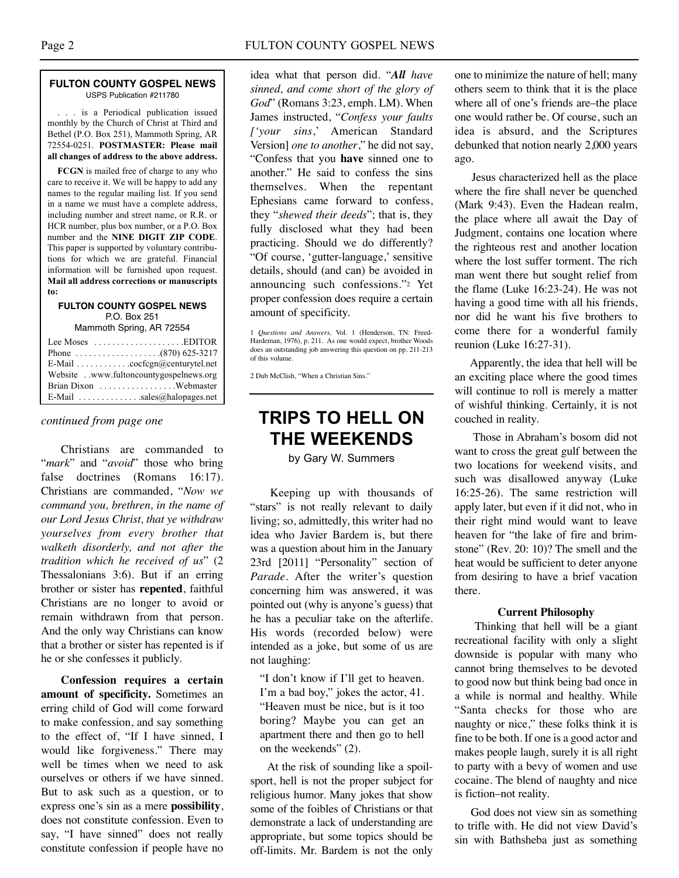#### **FULTON COUNTY GOSPEL NEWS** USPS Publication #211780

. . . is a Periodical publication issued monthly by the Church of Christ at Third and Bethel (P.O. Box 251), Mammoth Spring, AR 72554-0251. **POSTMASTER: Please mail all changes of address to the above address.**

**FCGN** is mailed free of charge to any who care to receive it. We will be happy to add any names to the regular mailing list. If you send in a name we must have a complete address, including number and street name, or R.R. or HCR number, plus box number, or a P.O. Box number and the **NINE DIGIT ZIP CODE**. This paper is supported by voluntary contributions for which we are grateful. Financial information will be furnished upon request. **Mail all address corrections or manuscripts to:**

#### **FULTON COUNTY GOSPEL NEWS** P.O. Box 251

Mammoth Spring, AR 72554

| Lee Moses $\dots\dots\dots\dots\dots\dots$ . EDITOR |
|-----------------------------------------------------|
|                                                     |
| E-Mail cocfcgn@centurytel.net                       |
| Websitewww.fultoncountygospelnews.org               |
|                                                     |
| E-Mail $\ldots$ sales@halopages.net                 |

Christians are commanded to "*mark*" and "*avoid*" those who bring false doctrines (Romans 16:17). Christians are commanded, "*Now we command you, brethren, in the name of our Lord Jesus Christ, that ye withdraw yourselves from every brother that walketh disorderly, and not after the tradition which he received of us*" (2 Thessalonians 3:6). But if an erring brother or sister has **repented**, faithful Christians are no longer to avoid or remain withdrawn from that person. And the only way Christians can know that a brother or sister has repented is if he or she confesses it publicly.

**Confession requires a certain amount of specificity.** Sometimes an erring child of God will come forward to make confession, and say something to the effect of, "If I have sinned, I would like forgiveness." There may well be times when we need to ask ourselves or others if we have sinned. But to ask such as a question, or to express one's sin as a mere **possibility**, does not constitute confession. Even to say, "I have sinned" does not really constitute confession if people have no

idea what that person did. "*All have sinned, and come short of the glory of God*" (Romans 3:23, emph. LM). When James instructed, "*Confess your faults ['your sins*,' American Standard Version] *one to another*," he did not say, "Confess that you **have** sinned one to another." He said to confess the sins themselves. When the repentant Ephesians came forward to confess, they "*shewed their deeds*"; that is, they fully disclosed what they had been practicing. Should we do differently? "Of course, 'gutter-language,' sensitive details, should (and can) be avoided in announcing such confessions."2 Yet proper confession does require a certain amount of specificity.

2 Dub McClish, "When a Christian Sins."

## *continued from page one* **TRIPS TO HELL ON THE WEEKENDS**

by Gary W. Summers

Keeping up with thousands of "stars" is not really relevant to daily living; so, admittedly, this writer had no idea who Javier Bardem is, but there was a question about him in the January 23rd [2011] "Personality" section of *Parade*. After the writer's question concerning him was answered, it was pointed out (why is anyone's guess) that he has a peculiar take on the afterlife. His words (recorded below) were intended as a joke, but some of us are not laughing:

"I don't know if I'll get to heaven. I'm a bad boy," jokes the actor, 41. "Heaven must be nice, but is it too boring? Maybe you can get an apartment there and then go to hell on the weekends" (2).

At the risk of sounding like a spoilsport, hell is not the proper subject for religious humor. Many jokes that show some of the foibles of Christians or that demonstrate a lack of understanding are appropriate, but some topics should be off-limits. Mr. Bardem is not the only one to minimize the nature of hell; many others seem to think that it is the place where all of one's friends are–the place one would rather be. Of course, such an idea is absurd, and the Scriptures debunked that notion nearly 2,000 years ago.

Jesus characterized hell as the place where the fire shall never be quenched (Mark 9:43). Even the Hadean realm, the place where all await the Day of Judgment, contains one location where the righteous rest and another location where the lost suffer torment. The rich man went there but sought relief from the flame (Luke 16:23-24). He was not having a good time with all his friends, nor did he want his five brothers to come there for a wonderful family reunion (Luke 16:27-31).

Apparently, the idea that hell will be an exciting place where the good times will continue to roll is merely a matter of wishful thinking. Certainly, it is not couched in reality.

Those in Abraham's bosom did not want to cross the great gulf between the two locations for weekend visits, and such was disallowed anyway (Luke 16:25-26). The same restriction will apply later, but even if it did not, who in their right mind would want to leave heaven for "the lake of fire and brimstone" (Rev. 20: 10)? The smell and the heat would be sufficient to deter anyone from desiring to have a brief vacation there.

#### **Current Philosophy**

Thinking that hell will be a giant recreational facility with only a slight downside is popular with many who cannot bring themselves to be devoted to good now but think being bad once in a while is normal and healthy. While "Santa checks for those who are naughty or nice," these folks think it is fine to be both. If one is a good actor and makes people laugh, surely it is all right to party with a bevy of women and use cocaine. The blend of naughty and nice is fiction–not reality.

God does not view sin as something to trifle with. He did not view David's sin with Bathsheba just as something

<sup>1</sup> *Questions and Answers,* Vol. 1 (Henderson, TN: Freed-Hardeman, 1976), p. 211. As one would expect, brother Woods does an outstanding job answering this question on pp. 211-213 of this volume.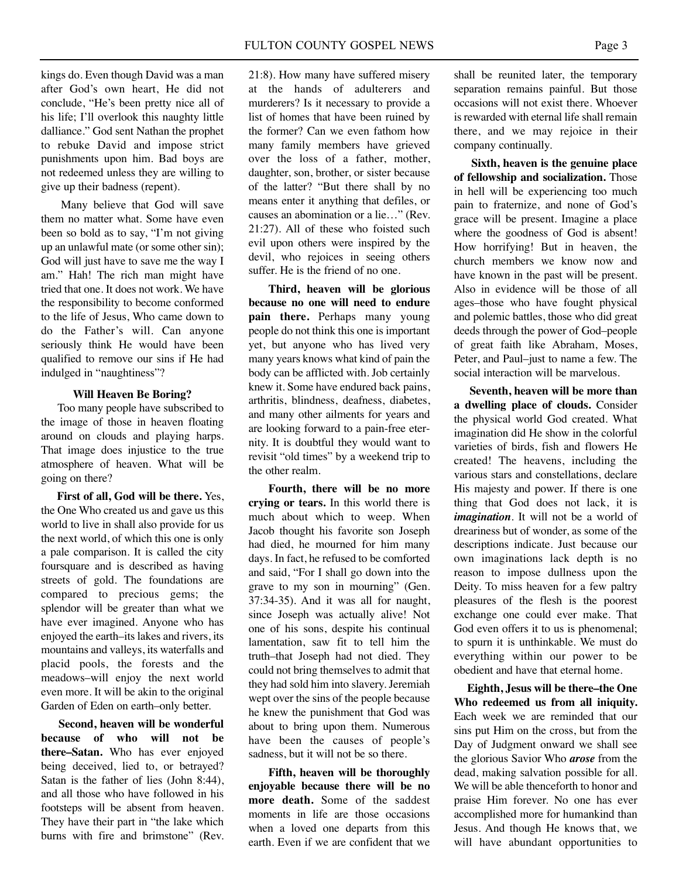kings do. Even though David was a man after God's own heart, He did not conclude, "He's been pretty nice all of his life; I'll overlook this naughty little dalliance." God sent Nathan the prophet to rebuke David and impose strict punishments upon him. Bad boys are not redeemed unless they are willing to give up their badness (repent).

Many believe that God will save them no matter what. Some have even been so bold as to say, "I'm not giving up an unlawful mate (or some other sin); God will just have to save me the way I am." Hah! The rich man might have tried that one. It does not work. We have the responsibility to become conformed to the life of Jesus, Who came down to do the Father's will. Can anyone seriously think He would have been qualified to remove our sins if He had indulged in "naughtiness"?

#### **Will Heaven Be Boring?**

Too many people have subscribed to the image of those in heaven floating around on clouds and playing harps. That image does injustice to the true atmosphere of heaven. What will be going on there?

**First of all, God will be there.** Yes, the One Who created us and gave us this world to live in shall also provide for us the next world, of which this one is only a pale comparison. It is called the city foursquare and is described as having streets of gold. The foundations are compared to precious gems; the splendor will be greater than what we have ever imagined. Anyone who has enjoyed the earth–its lakes and rivers, its mountains and valleys, its waterfalls and placid pools, the forests and the meadows–will enjoy the next world even more. It will be akin to the original Garden of Eden on earth–only better.

**Second, heaven will be wonderful because of who will not be there–Satan.** Who has ever enjoyed being deceived, lied to, or betrayed? Satan is the father of lies (John 8:44), and all those who have followed in his footsteps will be absent from heaven. They have their part in "the lake which burns with fire and brimstone" (Rev. 21:8). How many have suffered misery at the hands of adulterers and murderers? Is it necessary to provide a list of homes that have been ruined by the former? Can we even fathom how many family members have grieved over the loss of a father, mother, daughter, son, brother, or sister because of the latter? "But there shall by no means enter it anything that defiles, or causes an abomination or a lie…" (Rev. 21:27). All of these who foisted such evil upon others were inspired by the devil, who rejoices in seeing others suffer. He is the friend of no one.

**Third, heaven will be glorious because no one will need to endure pain there.** Perhaps many young people do not think this one is important yet, but anyone who has lived very many years knows what kind of pain the body can be afflicted with. Job certainly knew it. Some have endured back pains, arthritis, blindness, deafness, diabetes, and many other ailments for years and are looking forward to a pain-free eternity. It is doubtful they would want to revisit "old times" by a weekend trip to the other realm.

**Fourth, there will be no more crying or tears.** In this world there is much about which to weep. When Jacob thought his favorite son Joseph had died, he mourned for him many days. In fact, he refused to be comforted and said, "For I shall go down into the grave to my son in mourning" (Gen. 37:34-35). And it was all for naught, since Joseph was actually alive! Not one of his sons, despite his continual lamentation, saw fit to tell him the truth–that Joseph had not died. They could not bring themselves to admit that they had sold him into slavery. Jeremiah wept over the sins of the people because he knew the punishment that God was about to bring upon them. Numerous have been the causes of people's sadness, but it will not be so there.

**Fifth, heaven will be thoroughly enjoyable because there will be no more death.** Some of the saddest moments in life are those occasions when a loved one departs from this earth. Even if we are confident that we

shall be reunited later, the temporary separation remains painful. But those occasions will not exist there. Whoever is rewarded with eternal life shall remain there, and we may rejoice in their company continually.

**Sixth, heaven is the genuine place of fellowship and socialization.** Those in hell will be experiencing too much pain to fraternize, and none of God's grace will be present. Imagine a place where the goodness of God is absent! How horrifying! But in heaven, the church members we know now and have known in the past will be present. Also in evidence will be those of all ages–those who have fought physical and polemic battles, those who did great deeds through the power of God–people of great faith like Abraham, Moses, Peter, and Paul–just to name a few. The social interaction will be marvelous.

**Seventh, heaven will be more than a dwelling place of clouds.** Consider the physical world God created. What imagination did He show in the colorful varieties of birds, fish and flowers He created! The heavens, including the various stars and constellations, declare His majesty and power. If there is one thing that God does not lack, it is *imagination*. It will not be a world of dreariness but of wonder, as some of the descriptions indicate. Just because our own imaginations lack depth is no reason to impose dullness upon the Deity. To miss heaven for a few paltry pleasures of the flesh is the poorest exchange one could ever make. That God even offers it to us is phenomenal; to spurn it is unthinkable. We must do everything within our power to be obedient and have that eternal home.

**Eighth, Jesus will be there–the One Who redeemed us from all iniquity.** Each week we are reminded that our sins put Him on the cross, but from the Day of Judgment onward we shall see the glorious Savior Who *arose* from the dead, making salvation possible for all. We will be able thenceforth to honor and praise Him forever. No one has ever accomplished more for humankind than Jesus. And though He knows that, we will have abundant opportunities to